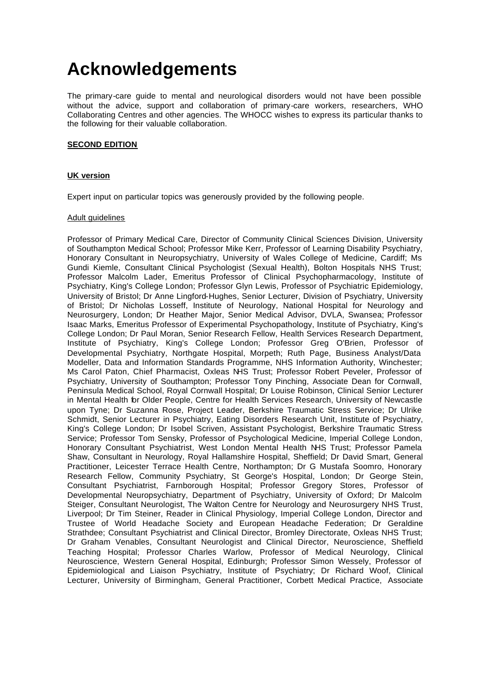# **Acknowledgements**

The primary-care guide to mental and neurological disorders would not have been possible without the advice, support and collaboration of primary-care workers, researchers, WHO Collaborating Centres and other agencies. The WHOCC wishes to express its particular thanks to the following for their valuable collaboration.

#### **SECOND EDITION**

#### **UK version**

Expert input on particular topics was generously provided by the following people.

#### Adult guidelines

Professor of Primary Medical Care, Director of Community Clinical Sciences Division, University of Southampton Medical School; Professor Mike Kerr, Professor of Learning Disability Psychiatry, Honorary Consultant in Neuropsychiatry, University of Wales College of Medicine, Cardiff; Ms Gundi Kiemle, Consultant Clinical Psychologist (Sexual Health), Bolton Hospitals NHS Trust; Professor Malcolm Lader, Emeritus Professor of Clinical Psychopharmacology, Institute of Psychiatry, King's College London; Professor Glyn Lewis, Professor of Psychiatric Epidemiology, University of Bristol; Dr Anne Lingford-Hughes, Senior Lecturer, Division of Psychiatry, University of Bristol; Dr Nicholas Losseff, Institute of Neurology, National Hospital for Neurology and Neurosurgery, London; Dr Heather Major, Senior Medical Advisor, DVLA, Swansea; Professor Isaac Marks, Emeritus Professor of Experimental Psychopathology, Institute of Psychiatry, King's College London; Dr Paul Moran, Senior Research Fellow, Health Services Research Department, Institute of Psychiatry, King's College London; Professor Greg O'Brien, Professor of Developmental Psychiatry, Northgate Hospital, Morpeth; Ruth Page, Business Analyst/Data Modeller, Data and Information Standards Programme, NHS Information Authority, Winchester; Ms Carol Paton, Chief Pharmacist, Oxleas NHS Trust; Professor Robert Peveler, Professor of Psychiatry, University of Southampton; Professor Tony Pinching, Associate Dean for Cornwall, Peninsula Medical School, Royal Cornwall Hospital; Dr Louise Robinson, Clinical Senior Lecturer in Mental Health for Older People, Centre for Health Services Research, University of Newcastle upon Tyne; Dr Suzanna Rose, Project Leader, Berkshire Traumatic Stress Service; Dr Ulrike Schmidt, Senior Lecturer in Psychiatry, Eating Disorders Research Unit, Institute of Psychiatry, King's College London; Dr Isobel Scriven, Assistant Psychologist, Berkshire Traumatic Stress Service; Professor Tom Sensky, Professor of Psychological Medicine, Imperial College London, Honorary Consultant Psychiatrist, West London Mental Health NHS Trust; Professor Pamela Shaw, Consultant in Neurology, Royal Hallamshire Hospital, Sheffield; Dr David Smart, General Practitioner, Leicester Terrace Health Centre, Northampton; Dr G Mustafa Soomro, Honorary Research Fellow, Community Psychiatry, St George's Hospital, London; Dr George Stein, Consultant Psychiatrist, Farnborough Hospital; Professor Gregory Stores, Professor of Developmental Neuropsychiatry, Department of Psychiatry, University of Oxford; Dr Malcolm Steiger, Consultant Neurologist, The Walton Centre for Neurology and Neurosurgery NHS Trust, Liverpool; Dr Tim Steiner, Reader in Clinical Physiology, Imperial College London, Director and Trustee of World Headache Society and European Headache Federation; Dr Geraldine Strathdee; Consultant Psychiatrist and Clinical Director, Bromley Directorate, Oxleas NHS Trust; Dr Graham Venables, Consultant Neurologist and Clinical Director, Neuroscience, Sheffield Teaching Hospital; Professor Charles Warlow, Professor of Medical Neurology, Clinical Neuroscience, Western General Hospital, Edinburgh; Professor Simon Wessely, Professor of Epidemiological and Liaison Psychiatry, Institute of Psychiatry; Dr Richard Woof, Clinical Lecturer, University of Birmingham, General Practitioner, Corbett Medical Practice, Associate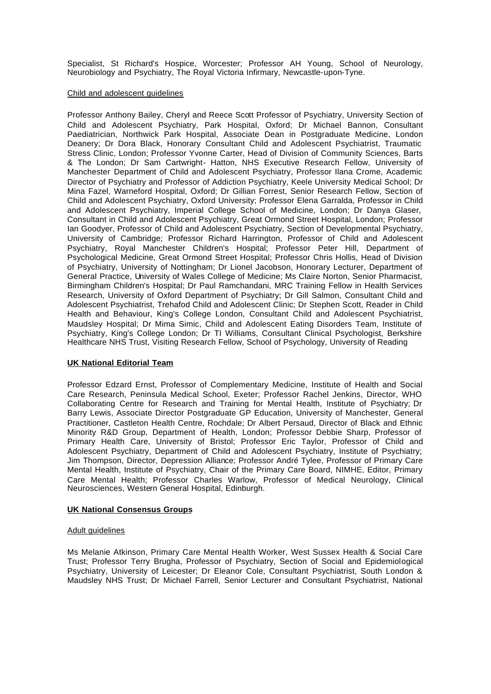Specialist, St Richard's Hospice, Worcester; Professor AH Young, School of Neurology, Neurobiology and Psychiatry, The Royal Victoria Infirmary, Newcastle-upon-Tyne.

#### Child and adolescent guidelines

Professor Anthony Bailey, Cheryl and Reece Scott Professor of Psychiatry, University Section of Child and Adolescent Psychiatry, Park Hospital, Oxford; Dr Michael Bannon, Consultant Paediatrician, Northwick Park Hospital, Associate Dean in Postgraduate Medicine, London Deanery; Dr Dora Black, Honorary Consultant Child and Adolescent Psychiatrist, Traumatic Stress Clinic, London; Professor Yvonne Carter, Head of Division of Community Sciences, Barts & The London; Dr Sam Cartwright- Hatton, NHS Executive Research Fellow, University of Manchester Department of Child and Adolescent Psychiatry, Professor Ilana Crome, Academic Director of Psychiatry and Professor of Addiction Psychiatry, Keele University Medical School; Dr Mina Fazel, Warneford Hospital, Oxford; Dr Gillian Forrest, Senior Research Fellow, Section of Child and Adolescent Psychiatry, Oxford University; Professor Elena Garralda, Professor in Child and Adolescent Psychiatry, Imperial College School of Medicine, London; Dr Danya Glaser, Consultant in Child and Adolescent Psychiatry, Great Ormond Street Hospital, London; Professor Ian Goodyer, Professor of Child and Adolescent Psychiatry, Section of Developmental Psychiatry, University of Cambridge; Professor Richard Harrington, Professor of Child and Adolescent Psychiatry, Royal Manchester Children's Hospital; Professor Peter Hill, Department of Psychological Medicine, Great Ormond Street Hospital; Professor Chris Hollis, Head of Division of Psychiatry, University of Nottingham; Dr Lionel Jacobson, Honorary Lecturer, Department of General Practice, University of Wales College of Medicine; Ms Claire Norton, Senior Pharmacist, Birmingham Children's Hospital; Dr Paul Ramchandani, MRC Training Fellow in Health Services Research, University of Oxford Department of Psychiatry; Dr Gill Salmon, Consultant Child and Adolescent Psychiatrist, Trehafod Child and Adolescent Clinic; Dr Stephen Scott, Reader in Child Health and Behaviour, King's College London, Consultant Child and Adolescent Psychiatrist, Maudsley Hospital; Dr Mima Simic, Child and Adolescent Eating Disorders Team, Institute of Psychiatry, King's College London; Dr TI Williams, Consultant Clinical Psychologist, Berkshire Healthcare NHS Trust, Visiting Research Fellow, School of Psychology, University of Reading

## **UK National Editorial Team**

Professor Edzard Ernst, Professor of Complementary Medicine, Institute of Health and Social Care Research, Peninsula Medical School, Exeter; Professor Rachel Jenkins, Director, WHO Collaborating Centre for Research and Training for Mental Health, Institute of Psychiatry; Dr Barry Lewis, Associate Director Postgraduate GP Education, University of Manchester, General Practitioner, Castleton Health Centre, Rochdale; Dr Albert Persaud, Director of Black and Ethnic Minority R&D Group, Department of Health, London; Professor Debbie Sharp, Professor of Primary Health Care, University of Bristol; Professor Eric Taylor, Professor of Child and Adolescent Psychiatry, Department of Child and Adolescent Psychiatry, Institute of Psychiatry; Jim Thompson, Director, Depression Alliance; Professor André Tylee, Professor of Primary Care Mental Health, Institute of Psychiatry, Chair of the Primary Care Board, NIMHE, Editor, Primary Care Mental Health; Professor Charles Warlow, Professor of Medical Neurology, Clinical Neurosciences, Western General Hospital, Edinburgh.

## **UK National Consensus Groups**

#### Adult guidelines

Ms Melanie Atkinson, Primary Care Mental Health Worker, West Sussex Health & Social Care Trust; Professor Terry Brugha, Professor of Psychiatry, Section of Social and Epidemiological Psychiatry, University of Leicester; Dr Eleanor Cole, Consultant Psychiatrist, South London & Maudsley NHS Trust; Dr Michael Farrell, Senior Lecturer and Consultant Psychiatrist, National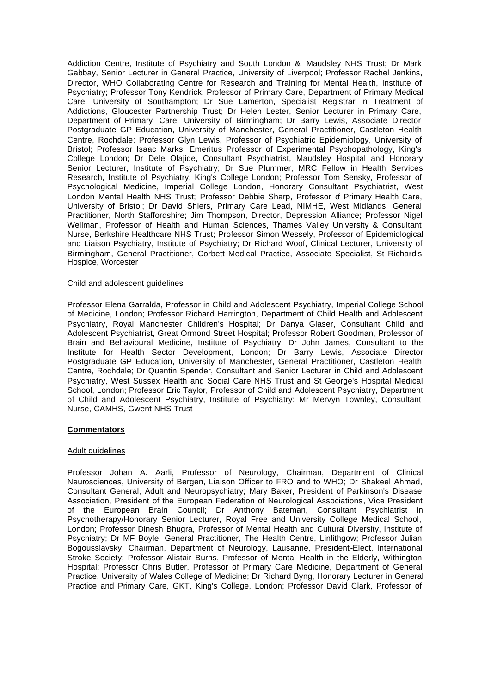Addiction Centre, Institute of Psychiatry and South London & Maudsley NHS Trust; Dr Mark Gabbay, Senior Lecturer in General Practice, University of Liverpool; Professor Rachel Jenkins, Director, WHO Collaborating Centre for Research and Training for Mental Health, Institute of Psychiatry; Professor Tony Kendrick, Professor of Primary Care, Department of Primary Medical Care, University of Southampton; Dr Sue Lamerton, Specialist Registrar in Treatment of Addictions, Gloucester Partnership Trust; Dr Helen Lester, Senior Lecturer in Primary Care, Department of Primary Care, University of Birmingham; Dr Barry Lewis, Associate Director Postgraduate GP Education, University of Manchester, General Practitioner, Castleton Health Centre, Rochdale; Professor Glyn Lewis, Professor of Psychiatric Epidemiology, University of Bristol; Professor Isaac Marks, Emeritus Professor of Experimental Psychopathology, King's College London; Dr Dele Olajide, Consultant Psychiatrist, Maudsley Hospital and Honorary Senior Lecturer, Institute of Psychiatry; Dr Sue Plummer, MRC Fellow in Health Services Research, Institute of Psychiatry, King's College London; Professor Tom Sensky, Professor of Psychological Medicine, Imperial College London, Honorary Consultant Psychiatrist, West London Mental Health NHS Trust: Professor Debbie Sharp, Professor of Primary Health Care. University of Bristol; Dr David Shiers, Primary Care Lead, NIMHE, West Midlands, General Practitioner, North Staffordshire; Jim Thompson, Director, Depression Alliance; Professor Nigel Wellman, Professor of Health and Human Sciences, Thames Valley University & Consultant Nurse, Berkshire Healthcare NHS Trust; Professor Simon Wessely, Professor of Epidemiological and Liaison Psychiatry, Institute of Psychiatry; Dr Richard Woof, Clinical Lecturer, University of Birmingham, General Practitioner, Corbett Medical Practice, Associate Specialist, St Richard's Hospice, Worcester

# Child and adolescent guidelines

Professor Elena Garralda, Professor in Child and Adolescent Psychiatry, Imperial College School of Medicine, London; Professor Richard Harrington, Department of Child Health and Adolescent Psychiatry, Royal Manchester Children's Hospital; Dr Danya Glaser, Consultant Child and Adolescent Psychiatrist, Great Ormond Street Hospital; Professor Robert Goodman, Professor of Brain and Behavioural Medicine, Institute of Psychiatry; Dr John James, Consultant to the Institute for Health Sector Development, London; Dr Barry Lewis, Associate Director Postgraduate GP Education, University of Manchester, General Practitioner, Castleton Health Centre, Rochdale; Dr Quentin Spender, Consultant and Senior Lecturer in Child and Adolescent Psychiatry, West Sussex Health and Social Care NHS Trust and St George's Hospital Medical School, London; Professor Eric Taylor, Professor of Child and Adolescent Psychiatry, Department of Child and Adolescent Psychiatry, Institute of Psychiatry; Mr Mervyn Townley, Consultant Nurse, CAMHS, Gwent NHS Trust

## **Commentators**

## Adult guidelines

Professor Johan A. Aarli, Professor of Neurology, Chairman, Department of Clinical Neurosciences, University of Bergen, Liaison Officer to FRO and to WHO; Dr Shakeel Ahmad, Consultant General, Adult and Neuropsychiatry; Mary Baker, President of Parkinson's Disease Association, President of the European Federation of Neurological Associations, Vice President of the European Brain Council; Dr Anthony Bateman, Consultant Psychiatrist in Psychotherapy/Honorary Senior Lecturer, Royal Free and University College Medical School, London; Professor Dinesh Bhugra, Professor of Mental Health and Cultural Diversity, Institute of Psychiatry; Dr MF Boyle, General Practitioner, The Health Centre, Linlithgow; Professor Julian Bogousslavsky, Chairman, Department of Neurology, Lausanne, President-Elect, International Stroke Society; Professor Alistair Burns, Professor of Mental Health in the Elderly, Withington Hospital; Professor Chris Butler, Professor of Primary Care Medicine, Department of General Practice, University of Wales College of Medicine; Dr Richard Byng, Honorary Lecturer in General Practice and Primary Care, GKT, King's College, London; Professor David Clark, Professor of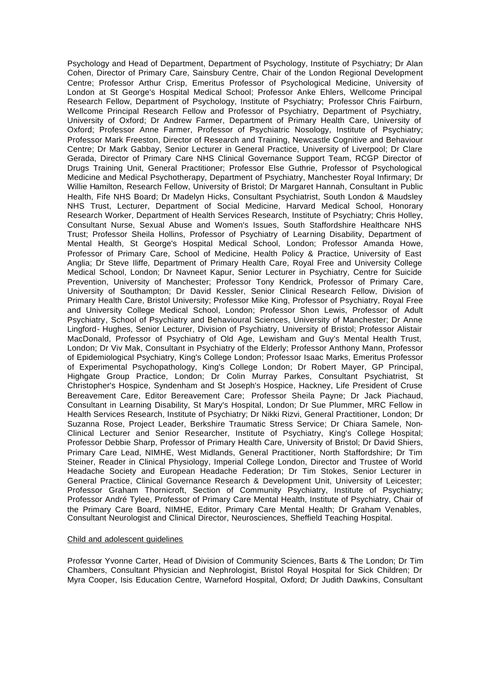Psychology and Head of Department, Department of Psychology, Institute of Psychiatry; Dr Alan Cohen, Director of Primary Care, Sainsbury Centre, Chair of the London Regional Development Centre; Professor Arthur Crisp, Emeritus Professor of Psychological Medicine, University of London at St George's Hospital Medical School; Professor Anke Ehlers, Wellcome Principal Research Fellow, Department of Psychology, Institute of Psychiatry; Professor Chris Fairburn, Wellcome Principal Research Fellow and Professor of Psychiatry, Department of Psychiatry, University of Oxford; Dr Andrew Farmer, Department of Primary Health Care, University of Oxford; Professor Anne Farmer, Professor of Psychiatric Nosology, Institute of Psychiatry; Professor Mark Freeston, Director of Research and Training, Newcastle Cognitive and Behaviour Centre; Dr Mark Gabbay, Senior Lecturer in General Practice, University of Liverpool; Dr Clare Gerada, Director of Primary Care NHS Clinical Governance Support Team, RCGP Director of Drugs Training Unit, General Practitioner; Professor Else Guthrie, Professor of Psychological Medicine and Medical Psychotherapy, Department of Psychiatry, Manchester Royal Infirmary; Dr Willie Hamilton, Research Fellow, University of Bristol; Dr Margaret Hannah, Consultant in Public Health, Fife NHS Board; Dr Madelyn Hicks, Consultant Psychiatrist, South London & Maudsley NHS Trust, Lecturer, Department of Social Medicine, Harvard Medical School, Honorary Research Worker, Department of Health Services Research, Institute of Psychiatry; Chris Holley, Consultant Nurse, Sexual Abuse and Women's Issues, South Staffordshire Healthcare NHS Trust; Professor Sheila Hollins, Professor of Psychiatry of Learning Disability, Department of Mental Health, St George's Hospital Medical School, London; Professor Amanda Howe, Professor of Primary Care, School of Medicine, Health Policy & Practice, University of East Anglia; Dr Steve Iliffe, Department of Primary Health Care, Royal Free and University College Medical School, London; Dr Navneet Kapur, Senior Lecturer in Psychiatry, Centre for Suicide Prevention, University of Manchester; Professor Tony Kendrick, Professor of Primary Care, University of Southampton; Dr David Kessler, Senior Clinical Research Fellow, Division of Primary Health Care, Bristol University; Professor Mike King, Professor of Psychiatry, Royal Free and University College Medical School, London; Professor Shon Lewis, Professor of Adult Psychiatry, School of Psychiatry and Behavioural Sciences, University of Manchester; Dr Anne Lingford- Hughes, Senior Lecturer, Division of Psychiatry, University of Bristol; Professor Alistair MacDonald, Professor of Psychiatry of Old Age, Lewisham and Guy's Mental Health Trust, London; Dr Viv Mak, Consultant in Psychiatry of the Elderly; Professor Anthony Mann, Professor of Epidemiological Psychiatry, King's College London; Professor Isaac Marks, Emeritus Professor of Experimental Psychopathology, King's College London; Dr Robert Mayer, GP Principal, Highgate Group Practice, London; Dr Colin Murray Parkes, Consultant Psychiatrist, St Christopher's Hospice, Syndenham and St Joseph's Hospice, Hackney, Life President of Cruse Bereavement Care, Editor Bereavement Care; Professor Sheila Payne; Dr Jack Piachaud, Consultant in Learning Disability, St Mary's Hospital, London; Dr Sue Plummer, MRC Fellow in Health Services Research, Institute of Psychiatry; Dr Nikki Rizvi, General Practitioner, London; Dr Suzanna Rose, Project Leader, Berkshire Traumatic Stress Service; Dr Chiara Samele, Non-Clinical Lecturer and Senior Researcher, Institute of Psychiatry, King's College Hospital; Professor Debbie Sharp, Professor of Primary Health Care, University of Bristol; Dr David Shiers, Primary Care Lead, NIMHE, West Midlands, General Practitioner, North Staffordshire; Dr Tim Steiner, Reader in Clinical Physiology, Imperial College London, Director and Trustee of World Headache Society and European Headache Federation; Dr Tim Stokes, Senior Lecturer in General Practice, Clinical Governance Research & Development Unit, University of Leicester; Professor Graham Thornicroft, Section of Community Psychiatry, Institute of Psychiatry; Professor André Tylee, Professor of Primary Care Mental Health, Institute of Psychiatry, Chair of the Primary Care Board, NIMHE, Editor, Primary Care Mental Health; Dr Graham Venables, Consultant Neurologist and Clinical Director, Neurosciences, Sheffield Teaching Hospital.

#### Child and adolescent quidelines

Professor Yvonne Carter, Head of Division of Community Sciences, Barts & The London; Dr Tim Chambers, Consultant Physician and Nephrologist, Bristol Royal Hospital for Sick Children; Dr Myra Cooper, Isis Education Centre, Warneford Hospital, Oxford; Dr Judith Dawkins, Consultant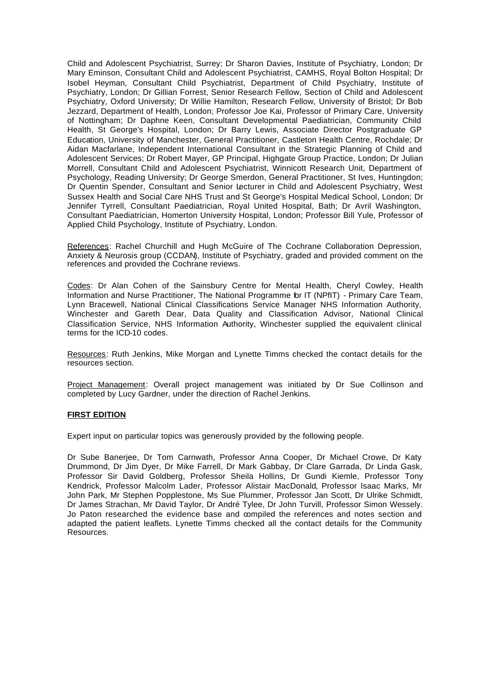Child and Adolescent Psychiatrist, Surrey; Dr Sharon Davies, Institute of Psychiatry, London; Dr Mary Eminson, Consultant Child and Adolescent Psychiatrist, CAMHS, Royal Bolton Hospital; Dr Isobel Heyman, Consultant Child Psychiatrist, Department of Child Psychiatry, Institute of Psychiatry, London; Dr Gillian Forrest, Senior Research Fellow, Section of Child and Adolescent Psychiatry, Oxford University; Dr Willie Hamilton, Research Fellow, University of Bristol; Dr Bob Jezzard, Department of Health, London; Professor Joe Kai, Professor of Primary Care, University of Nottingham; Dr Daphne Keen, Consultant Developmental Paediatrician, Community Child Health, St George's Hospital, London; Dr Barry Lewis, Associate Director Postgraduate GP Education, University of Manchester, General Practitioner, Castleton Health Centre, Rochdale; Dr Aidan Macfarlane, Independent International Consultant in the Strategic Planning of Child and Adolescent Services; Dr Robert Mayer, GP Principal, Highgate Group Practice, London; Dr Julian Morrell, Consultant Child and Adolescent Psychiatrist, Winnicott Research Unit, Department of Psychology, Reading University; Dr George Smerdon, General Practitioner, St Ives, Huntingdon; Dr Quentin Spender, Consultant and Senior Lecturer in Child and Adolescent Psychiatry, West Sussex Health and Social Care NHS Trust and St George's Hospital Medical School, London; Dr Jennifer Tyrrell, Consultant Paediatrician, Royal United Hospital, Bath; Dr Avril Washington, Consultant Paediatrician, Homerton University Hospital, London; Professor Bill Yule, Professor of Applied Child Psychology, Institute of Psychiatry, London.

References: Rachel Churchill and Hugh McGuire of The Cochrane Collaboration Depression, Anxiety & Neurosis group (CCDAN), Institute of Psychiatry, graded and provided comment on the references and provided the Cochrane reviews.

Codes: Dr Alan Cohen of the Sainsbury Centre for Mental Health, Cheryl Cowley, Health Information and Nurse Practitioner, The National Programme for IT (NPfIT) - Primary Care Team, Lynn Bracewell, National Clinical Classifications Service Manager NHS Information Authority, Winchester and Gareth Dear, Data Quality and Classification Advisor, National Clinical Classification Service, NHS Information Authority, Winchester supplied the equivalent clinical terms for the ICD-10 codes.

Resources: Ruth Jenkins, Mike Morgan and Lynette Timms checked the contact details for the resources section.

Project Management: Overall project management was initiated by Dr Sue Collinson and completed by Lucy Gardner, under the direction of Rachel Jenkins.

## **FIRST EDITION**

Expert input on particular topics was generously provided by the following people.

Dr Sube Banerjee, Dr Tom Carnwath, Professor Anna Cooper, Dr Michael Crowe, Dr Katy Drummond, Dr Jim Dyer, Dr Mike Farrell, Dr Mark Gabbay, Dr Clare Garrada, Dr Linda Gask, Professor Sir David Goldberg, Professor Sheila Hollins, Dr Gundi Kiemle, Professor Tony Kendrick, Professor Malcolm Lader, Professor Alistair MacDonald, Professor Isaac Marks, Mr John Park, Mr Stephen Popplestone, Ms Sue Plummer, Professor Jan Scott, Dr Ulrike Schmidt, Dr James Strachan, Mr David Taylor, Dr André Tylee, Dr John Turvill, Professor Simon Wessely. Jo Paton researched the evidence base and compiled the references and notes section and adapted the patient leaflets. Lynette Timms checked all the contact details for the Community Resources.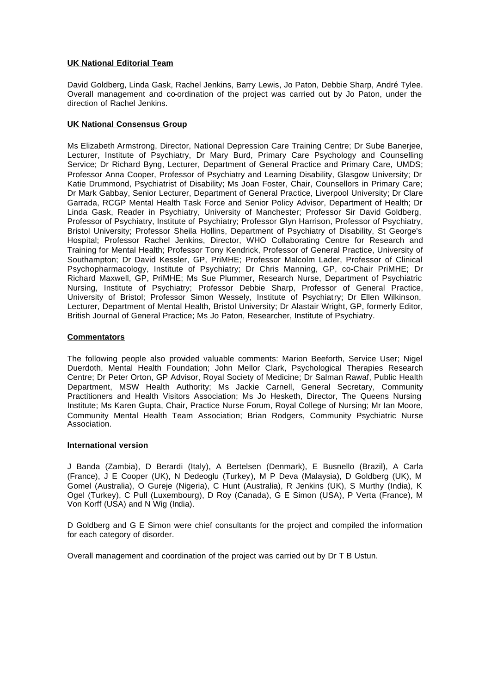# **UK National Editorial Team**

David Goldberg, Linda Gask, Rachel Jenkins, Barry Lewis, Jo Paton, Debbie Sharp, André Tylee. Overall management and co-ordination of the project was carried out by Jo Paton, under the direction of Rachel Jenkins.

# **UK National Consensus Group**

Ms Elizabeth Armstrong, Director, National Depression Care Training Centre; Dr Sube Banerjee, Lecturer, Institute of Psychiatry, Dr Mary Burd, Primary Care Psychology and Counselling Service; Dr Richard Byng, Lecturer, Department of General Practice and Primary Care, UMDS; Professor Anna Cooper, Professor of Psychiatry and Learning Disability, Glasgow University; Dr Katie Drummond, Psychiatrist of Disability; Ms Joan Foster, Chair, Counsellors in Primary Care; Dr Mark Gabbay, Senior Lecturer, Department of General Practice, Liverpool University; Dr Clare Garrada, RCGP Mental Health Task Force and Senior Policy Advisor, Department of Health; Dr Linda Gask, Reader in Psychiatry, University of Manchester; Professor Sir David Goldberg, Professor of Psychiatry, Institute of Psychiatry; Professor Glyn Harrison, Professor of Psychiatry, Bristol University; Professor Sheila Hollins, Department of Psychiatry of Disability, St George's Hospital; Professor Rachel Jenkins, Director, WHO Collaborating Centre for Research and Training for Mental Health; Professor Tony Kendrick, Professor of General Practice, University of Southampton; Dr David Kessler, GP, PriMHE; Professor Malcolm Lader, Professor of Clinical Psychopharmacology, Institute of Psychiatry; Dr Chris Manning, GP, co-Chair PriMHE; Dr Richard Maxwell, GP, PriMHE; Ms Sue Plummer, Research Nurse, Department of Psychiatric Nursing, Institute of Psychiatry; Professor Debbie Sharp, Professor of General Practice, University of Bristol; Professor Simon Wessely, Institute of Psychiatry; Dr Ellen Wilkinson, Lecturer, Department of Mental Health, Bristol University; Dr Alastair Wright, GP, formerly Editor, British Journal of General Practice; Ms Jo Paton, Researcher, Institute of Psychiatry.

# **Commentators**

The following people also provided valuable comments: Marion Beeforth, Service User; Nigel Duerdoth, Mental Health Foundation; John Mellor Clark, Psychological Therapies Research Centre; Dr Peter Orton, GP Advisor, Royal Society of Medicine; Dr Salman Rawaf, Public Health Department, MSW Health Authority; Ms Jackie Carnell, General Secretary, Community Practitioners and Health Visitors Association; Ms Jo Hesketh, Director, The Queens Nursing Institute; Ms Karen Gupta, Chair, Practice Nurse Forum, Royal College of Nursing; Mr Ian Moore, Community Mental Health Team Association; Brian Rodgers, Community Psychiatric Nurse Association.

## **International version**

J Banda (Zambia), D Berardi (Italy), A Bertelsen (Denmark), E Busnello (Brazil), A Carla (France), J E Cooper (UK), N Dedeoglu (Turkey), M P Deva (Malaysia), D Goldberg (UK), M Gomel (Australia), O Gureje (Nigeria), C Hunt (Australia), R Jenkins (UK), S Murthy (India), K Ogel (Turkey), C Pull (Luxembourg), D Roy (Canada), G E Simon (USA), P Verta (France), M Von Korff (USA) and N Wig (India).

D Goldberg and G E Simon were chief consultants for the project and compiled the information for each category of disorder.

Overall management and coordination of the project was carried out by Dr T B Ustun.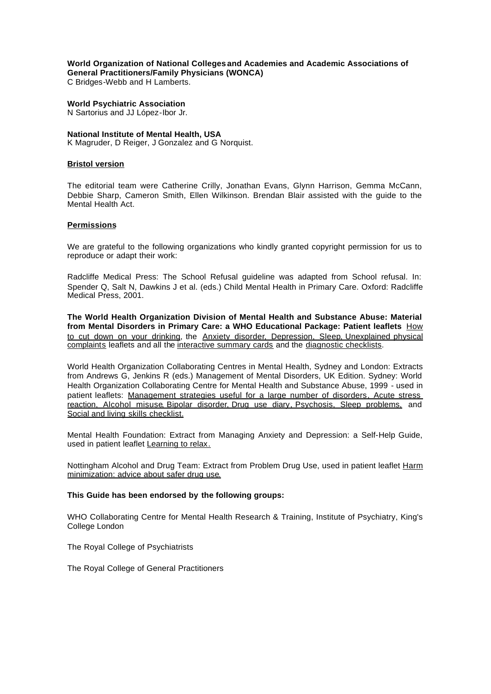#### **World Organization of National Colleges and Academies and Academic Associations of General Practitioners/Family Physicians (WONCA)**

C Bridges-Webb and H Lamberts.

#### **World Psychiatric Association**  N Sartorius and JJ López-Ibor Jr.

# **National Institute of Mental Health, USA**

K Magruder, D Reiger, J Gonzalez and G Norquist.

#### **Bristol version**

The editorial team were Catherine Crilly, Jonathan Evans, Glynn Harrison, Gemma McCann, Debbie Sharp, Cameron Smith, Ellen Wilkinson. Brendan Blair assisted with the guide to the Mental Health Act.

#### **Permissions**

We are grateful to the following organizations who kindly granted copyright permission for us to reproduce or adapt their work:

Radcliffe Medical Press: The School Refusal guideline was adapted from School refusal. In: Spender Q, Salt N, Dawkins J et al. (eds.) Child Mental Health in Primary Care. Oxford: Radcliffe Medical Press, 2001.

**The World Health Organization Division of Mental Health and Substance Abuse: Material from Mental Disorders in Primary Care: a WHO Educational Package: Patient leaflets** How to cut down on your drinking, the Anxiety disorder, Depression, Sleep, Unexplained physical complaints leaflets and all the interactive summary cards and the diagnostic checklists.

World Health Organization Collaborating Centres in Mental Health, Sydney and London: Extracts from Andrews G, Jenkins R (eds.) Management of Mental Disorders, UK Edition. Sydney: World Health Organization Collaborating Centre for Mental Health and Substance Abuse, 1999 - used in patient leaflets: Management strategies useful for a large number of disorders, Acute stress reaction, Alcohol misuse, Bipolar disorder, Drug use diary, Psychosis, Sleep problems, and Social and living skills checklist.

Mental Health Foundation: Extract from Managing Anxiety and Depression: a Self-Help Guide, used in patient leaflet Learning to relax.

Nottingham Alcohol and Drug Team: Extract from Problem Drug Use, used in patient leaflet Harm minimization: advice about safer drug use.

#### **This Guide has been endorsed by the following groups:**

WHO Collaborating Centre for Mental Health Research & Training, Institute of Psychiatry, King's College London

The Royal College of Psychiatrists

The Royal College of General Practitioners